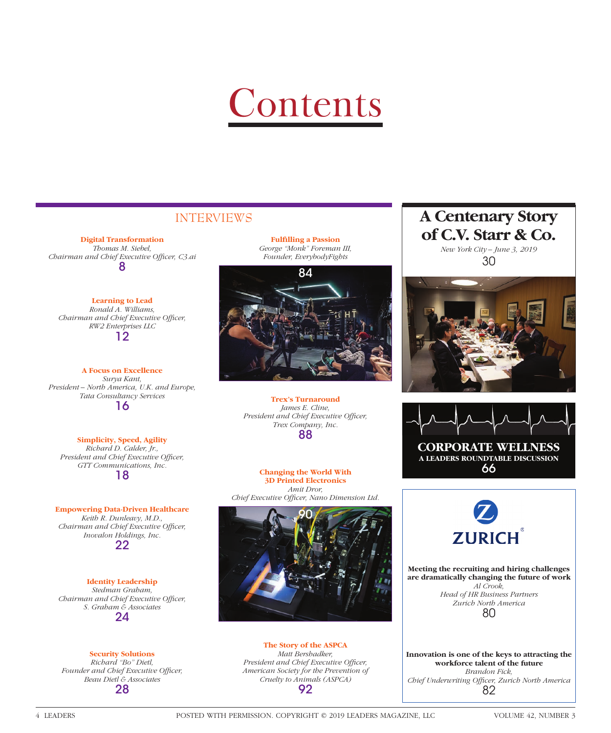# **Contents**

**Digital Transformation** *Thomas M. Siebel, Chairman and Chief Executive Officer, C3.ai* 8

> **Learning to Lead** *Ronald A. Williams,*

*Chairman and Chief Executive Officer, RW2 Enterprises LLC* 12

**A Focus on Excellence** *Surya Kant, President – North America, U.K. and Europe, Tata Consultancy Services* 16

**Simplicity, Speed, Agility** *Richard D. Calder, Jr., President and Chief Executive Officer, GTT Communications, Inc.* 18

**Empowering Data-Driven Healthcare** *Keith R. Dunleavy, M.D., Chairman and Chief Executive Officer, Inovalon Holdings, Inc.* 22

> **Identity Leadership** *Stedman Graham,*

*Chairman and Chief Executive Officer, S. Graham & Associates* 24

**Security Solutions** *Richard "Bo" Dietl,*  Founder and Chief Executive Officer, *Beau Dietl & Associates* 28

**Fulfilling a Passion** *George "Monk" Foreman III, Founder, EverybodyFights*



**Trex's Turnaround** *James E. Cline, President and Chief Executive Officer, Trex Company, Inc.* 88

**Changing the World With 3D Printed Electronics**  *Amit Dror,*  Chief Executive Officer, Nano Dimension Ltd.



**The Story of the ASPCA** *Matt Bershadker, President and Chief Executive Officer, American Society for the Prevention of Cruelty to Animals (ASPCA)* 92

## **INTERVIEWS A Centenary Story of C.V. Starr & Co.**

*New York City – June 3, 2019* 30







**Meeting the recruiting and hiring challenges are dramatically changing the future of work** *Al Crook, Head of HR Business Partners Zurich North America* 80

**Innovation is one of the keys to attracting the workforce talent of the future** *Brandon Fick, Chief Underwriting Offi cer, Zurich North America* 82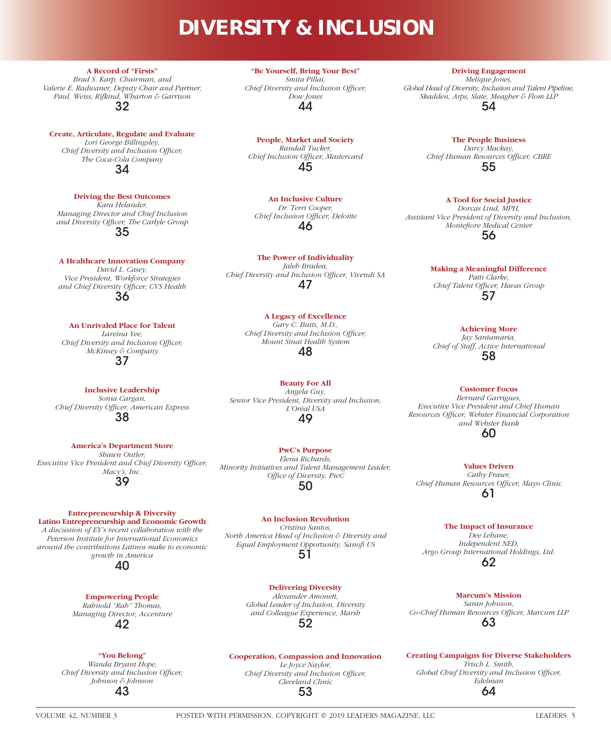## **DIVERSITY & INCLUSION**

**A Record of "Firsts"** *Brad S. Karp, Chairman, and Valerie E. Radwaner, Deputy Chair and Partner, Paul, Weiss, Rifkind, Wharton & Garrison* 32

**Create, Articulate, Regulate and Evaluate** *Lori George Billingsley, Chief Diversity and Inclusion Officer, The Coca-Cola Company* 34

**Driving the Best Outcomes** *Kara Helander, Managing Director and Chief Inclusion and Diversity Officer, The Carlyle Group* 35

**A Healthcare Innovation Company** *David L. Casey, Vice President, Workforce Strategies*  and Chief Diversity Officer, CVS Health 36

**An Unrivaled Place for Talent**  *Lareina Yee, Chief Diversity and Inclusion Officer, McKinsey & Company* 37

**Inclusive Leadership** *Sonia Cargan,*  **Chief Diversity Officer, American Express** 38

**America's Department Store** *Shawn Outler, Executive Vice President and Chief Diversity Officer, Macy's, Inc.* 39

#### **Entrepreneurship & Diversity Latino Entrepreneurship and Economic Growth**

*A discussion of EY's recent collaboration with the Peterson Institute for International Economics around the contributions Latinos make to economic growth in America*

40

### **Empowering People**

*Rahnold "Rah" Thomas, Managing Director, Accenture* 42

#### **"You Belong"**

*Wanda Bryant Hope, Chief Diversity and Inclusion Officer, Johnson & Johnson* 43

**"Be Yourself, Bring Your Best"** *Smita Pillai, Chief Diversity and Inclusion Officer, Dow Jones* 44

**People, Market and Society** *Randall Tucker, Chief Inclusion Officer, Mastercard* 45

**An Inclusive Culture** *Dr. Terri Cooper, Chief Inclusion Officer, Deloitte* 46

**The Power of Individuality** *Jaleh Bradea, Chief Diversity and Inclusion Officer, Vivendi SA* 47

> **A Legacy of Excellence** *Gary C. Butts, M.D., Chief Diversity and Inclusion Officer, Mount Sinai Health System*

48

**Beauty For All** *Angela Guy, Senior Vice President, Diversity and Inclusion, L'Oréal USA* 49

**PwC's Purpose** *Elena Richards, Minority Initiatives and Talent Management Leader, Office of Diversity, PwC* 50

> **An Inclusion Revolution** *Cristina Santos,*

*North America Head of Inclusion & Diversity and Equal Employment Opportunity, Sanofi US* 51

**Delivering Diversity**

*Alexander Amonett, Global Leader of Inclusion, Diversity and Colleague Experience, Marsh* 52

**Cooperation, Compassion and Innovation**  *Le Joyce Naylor,* 

*Chief Diversity and Inclusion Officer, Cleveland Clinic* 53

**Driving Engagement**

*Melique Jones, Global Head of Diversity, Inclusion and Talent Pipeline, Skadden, Arps, Slate, Meagher & Flom LLP* 54

> **The People Business** *Darcy Mackay, Chief Human Resources Officer, CBRE* 55

**A Tool for Social Justice** *Dorcas Lind, MPH, Assistant Vice President of Diversity and Inclusion, Montefiore Medical Center* 56

#### **Making a Meaningful Difference**

*Patti Clarke,*  Chief Talent Officer, Havas Group 57

**Achieving More**

*Jay Santamaria, Chief of Staff, Active International* 58

**Customer Focus**

*Bernard Garrigues, Executive Vice President and Chief Human Resources Offi cer, Webster Financial Corporation and Webster Bank* 60

**Values Driven** *Cathy Fraser,*  **Chief Human Resources Officer, Mayo Clinic** 61

> **The Impact of Insurance** *Dee Lehane,*

*Independent NED, Argo Group International Holdings, Ltd.* 62

**Marcum's Mission**

*Saran Johnson,*  Co-Chief Human Resources Officer, Marcum LLP 63

**Creating Campaigns for Diverse Stakeholders** *Trisch L. Smith,*  Global Chief Diversity and Inclusion Officer, *Edelman* 64